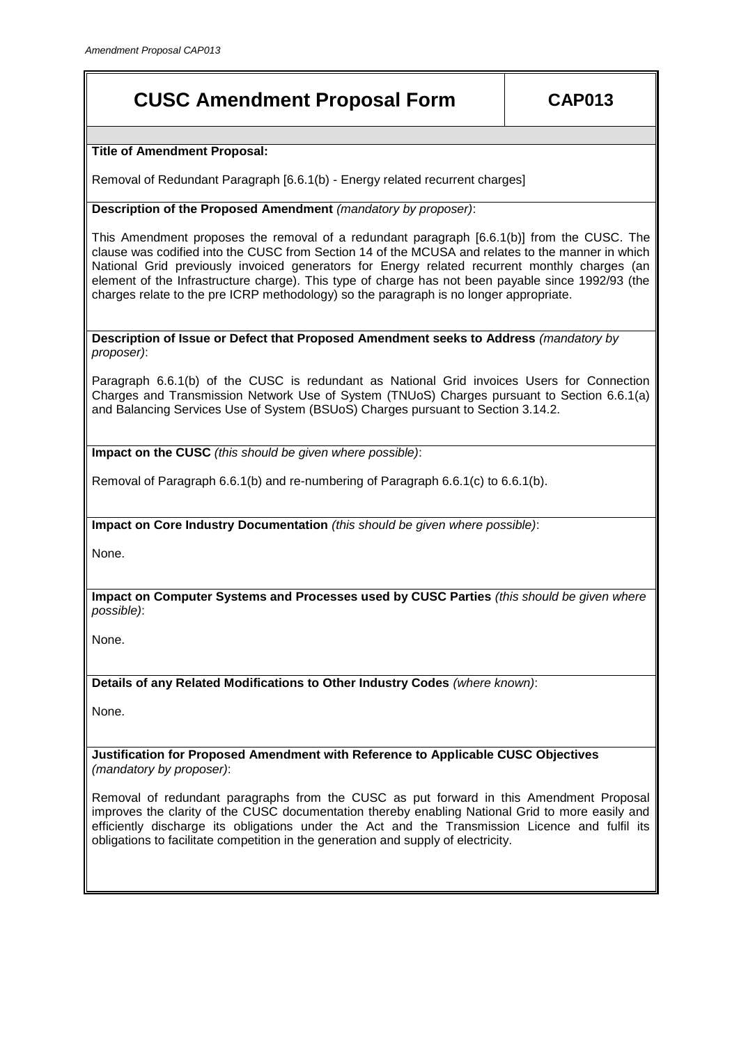## **CUSC Amendment Proposal Form CAP013**

**Title of Amendment Proposal:**

Removal of Redundant Paragraph [6.6.1(b) - Energy related recurrent charges]

**Description of the Proposed Amendment** *(mandatory by proposer)*:

This Amendment proposes the removal of a redundant paragraph [6.6.1(b)] from the CUSC. The clause was codified into the CUSC from Section 14 of the MCUSA and relates to the manner in which National Grid previously invoiced generators for Energy related recurrent monthly charges (an element of the Infrastructure charge). This type of charge has not been payable since 1992/93 (the charges relate to the pre ICRP methodology) so the paragraph is no longer appropriate.

**Description of Issue or Defect that Proposed Amendment seeks to Address** *(mandatory by proposer)*:

Paragraph 6.6.1(b) of the CUSC is redundant as National Grid invoices Users for Connection Charges and Transmission Network Use of System (TNUoS) Charges pursuant to Section 6.6.1(a) and Balancing Services Use of System (BSUoS) Charges pursuant to Section 3.14.2.

**Impact on the CUSC** *(this should be given where possible)*:

Removal of Paragraph 6.6.1(b) and re-numbering of Paragraph 6.6.1(c) to 6.6.1(b).

**Impact on Core Industry Documentation** *(this should be given where possible)*:

None.

**Impact on Computer Systems and Processes used by CUSC Parties** *(this should be given where possible)*:

None.

**Details of any Related Modifications to Other Industry Codes** *(where known)*:

None.

**Justification for Proposed Amendment with Reference to Applicable CUSC Objectives**  *(mandatory by proposer)*:

Removal of redundant paragraphs from the CUSC as put forward in this Amendment Proposal improves the clarity of the CUSC documentation thereby enabling National Grid to more easily and efficiently discharge its obligations under the Act and the Transmission Licence and fulfil its obligations to facilitate competition in the generation and supply of electricity.